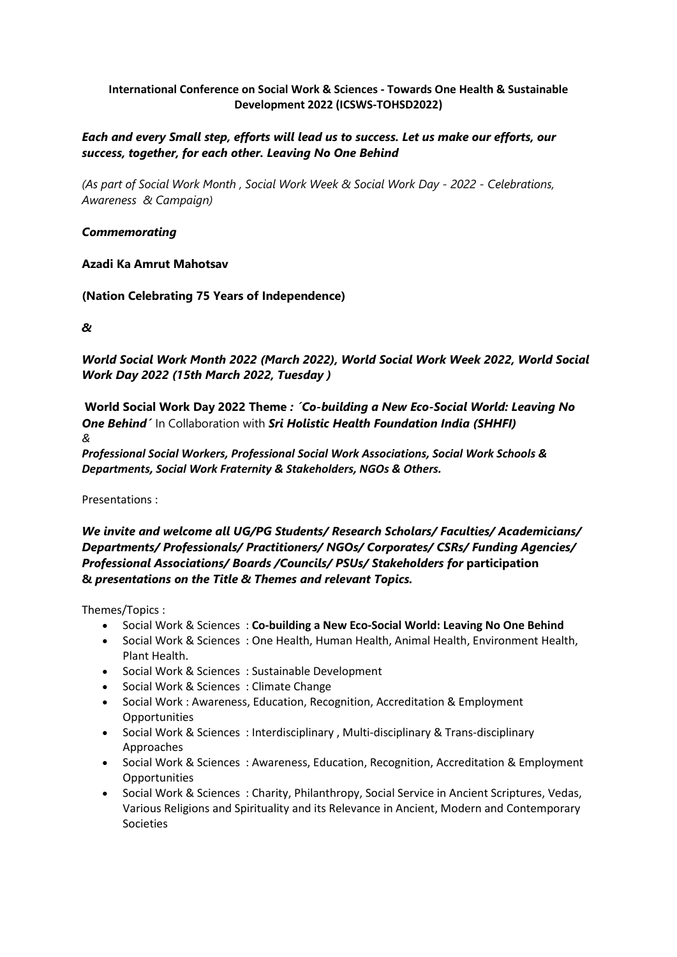# **International Conference on Social Work & Sciences - Towards One Health & Sustainable Development 2022 (ICSWS-TOHSD2022)**

# *Each and every Small step, efforts will lead us to success. Let us make our efforts, our success, together, for each other. Leaving No One Behind*

*(As part of Social Work Month , Social Work Week & Social Work Day - 2022 - Celebrations, Awareness & Campaign)*

# *Commemorating*

# **Azadi Ka Amrut Mahotsav**

**(Nation Celebrating 75 Years of Independence)**

*&*

*World Social Work Month 2022 (March 2022), World Social Work Week 2022, World Social Work Day 2022 (15th March 2022, Tuesday )*

**World Social Work Day 2022 Theme** *: ´Co-building a New Eco-Social World: Leaving No One Behind´* In Collaboration with *Sri Holistic Health Foundation India (SHHFI) &*

*Professional Social Workers, Professional Social Work Associations, Social Work Schools & Departments, Social Work Fraternity & Stakeholders, NGOs & Others.*

Presentations :

*We invite and welcome all UG/PG Students/ Research Scholars/ Faculties/ Academicians/ Departments/ Professionals/ Practitioners/ NGOs/ Corporates/ CSRs/ Funding Agencies/ Professional Associations/ Boards /Councils/ PSUs/ Stakeholders for* **participation &** *presentations on the Title & Themes and relevant Topics.*

Themes/Topics :

- Social Work & Sciences : **Co-building a New Eco-Social World: Leaving No One Behind**
- Social Work & Sciences : One Health, Human Health, Animal Health, Environment Health, Plant Health.
- Social Work & Sciences : Sustainable Development
- Social Work & Sciences : Climate Change
- Social Work : Awareness, Education, Recognition, Accreditation & Employment **Opportunities**
- Social Work & Sciences : Interdisciplinary , Multi-disciplinary & Trans-disciplinary Approaches
- Social Work & Sciences : Awareness, Education, Recognition, Accreditation & Employment **Opportunities**
- Social Work & Sciences : Charity, Philanthropy, Social Service in Ancient Scriptures, Vedas, Various Religions and Spirituality and its Relevance in Ancient, Modern and Contemporary Societies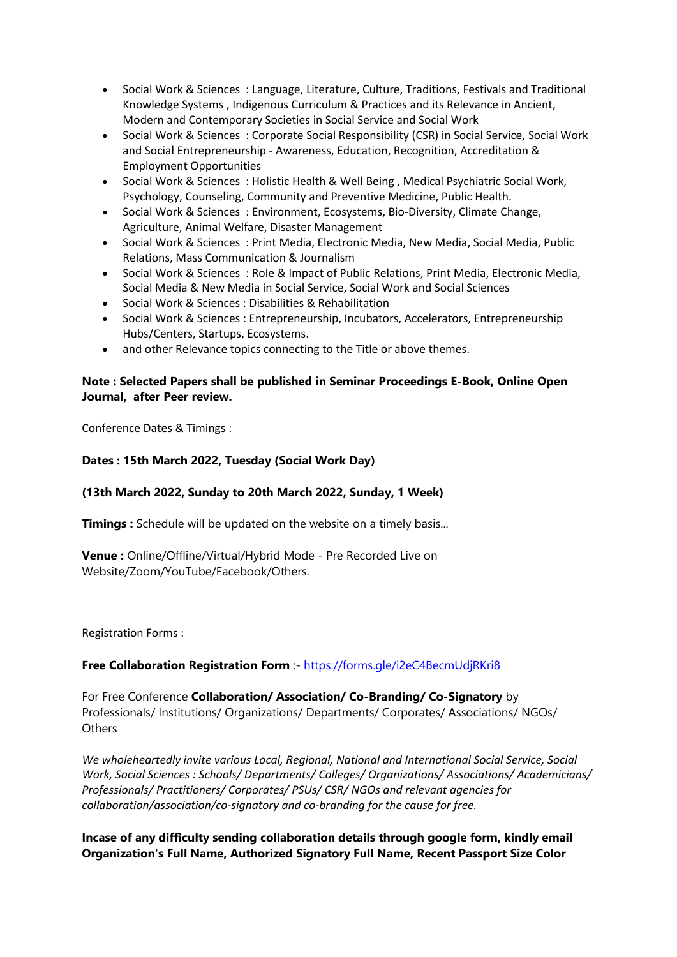- Social Work & Sciences : Language, Literature, Culture, Traditions, Festivals and Traditional Knowledge Systems , Indigenous Curriculum & Practices and its Relevance in Ancient, Modern and Contemporary Societies in Social Service and Social Work
- Social Work & Sciences : Corporate Social Responsibility (CSR) in Social Service, Social Work and Social Entrepreneurship - Awareness, Education, Recognition, Accreditation & Employment Opportunities
- Social Work & Sciences : Holistic Health & Well Being , Medical Psychiatric Social Work, Psychology, Counseling, Community and Preventive Medicine, Public Health.
- Social Work & Sciences : Environment, Ecosystems, Bio-Diversity, Climate Change, Agriculture, Animal Welfare, Disaster Management
- Social Work & Sciences : Print Media, Electronic Media, New Media, Social Media, Public Relations, Mass Communication & Journalism
- Social Work & Sciences : Role & Impact of Public Relations, Print Media, Electronic Media, Social Media & New Media in Social Service, Social Work and Social Sciences
- Social Work & Sciences : Disabilities & Rehabilitation
- Social Work & Sciences : Entrepreneurship, Incubators, Accelerators, Entrepreneurship Hubs/Centers, Startups, Ecosystems.
- and other Relevance topics connecting to the Title or above themes.

# **Note : Selected Papers shall be published in Seminar Proceedings E-Book, Online Open Journal, after Peer review.**

Conference Dates & Timings :

# **Dates : 15th March 2022, Tuesday (Social Work Day)**

# **(13th March 2022, Sunday to 20th March 2022, Sunday, 1 Week)**

**Timings :** Schedule will be updated on the website on a timely basis...

**Venue :** Online/Offline/Virtual/Hybrid Mode - Pre Recorded Live on Website/Zoom/YouTube/Facebook/Others.

Registration Forms :

# **Free Collaboration Registration Form** :- <https://forms.gle/i2eC4BecmUdjRKri8>

For Free Conference **Collaboration/ Association/ Co-Branding/ Co-Signatory** by Professionals/ Institutions/ Organizations/ Departments/ Corporates/ Associations/ NGOs/ **Others** 

*We wholeheartedly invite various Local, Regional, National and International Social Service, Social Work, Social Sciences : Schools/ Departments/ Colleges/ Organizations/ Associations/ Academicians/ Professionals/ Practitioners/ Corporates/ PSUs/ CSR/ NGOs and relevant agencies for collaboration/association/co-signatory and co-branding for the cause for free.*

# **Incase of any difficulty sending collaboration details through google form, kindly email Organization's Full Name, Authorized Signatory Full Name, Recent Passport Size Color**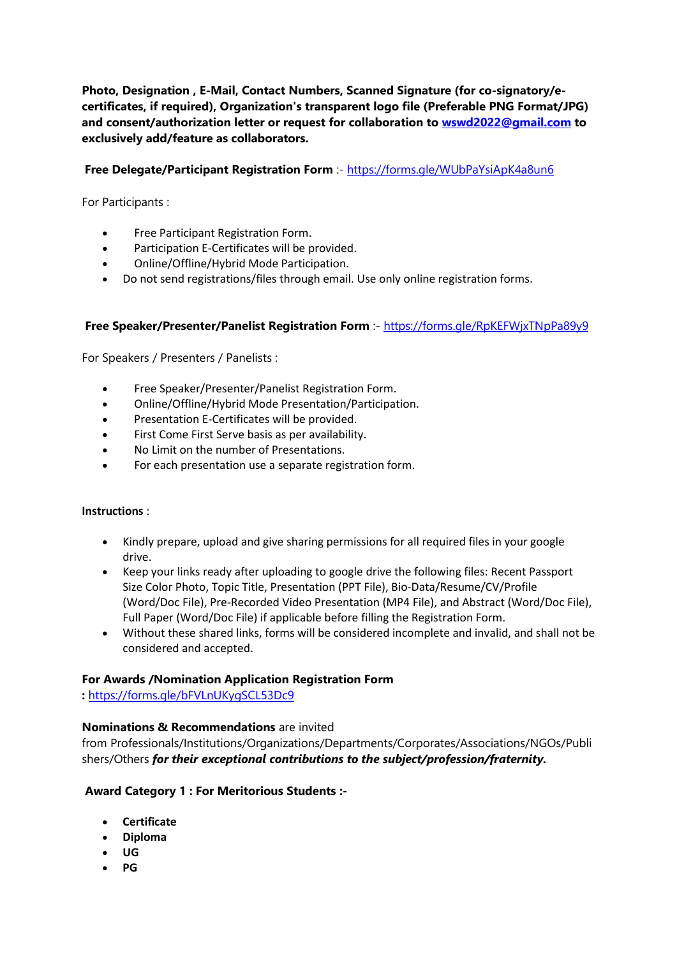**Photo, Designation , E-Mail, Contact Numbers, Scanned Signature (for co-signatory/ecertificates, if required), Organization's transparent logo file (Preferable PNG Format/JPG) and consent/authorization letter or request for collaboration to [wswd2022@gmail.com](mailto:wswd2022@gmail.com) to exclusively add/feature as collaborators.**

# **Free Delegate/Participant Registration Form** :- <https://forms.gle/WUbPaYsiApK4a8un6>

For Participants :

- Free Participant Registration Form.
- Participation E-Certificates will be provided.
- Online/Offline/Hybrid Mode Participation.
- Do not send registrations/files through email. Use only online registration forms.

### **Free Speaker/Presenter/Panelist Registration Form** :- <https://forms.gle/RpKEFWjxTNpPa89y9>

For Speakers / Presenters / Panelists :

- Free Speaker/Presenter/Panelist Registration Form.
- Online/Offline/Hybrid Mode Presentation/Participation.
- Presentation E-Certificates will be provided.
- First Come First Serve basis as per availability.
- No Limit on the number of Presentations.
- For each presentation use a separate registration form.

#### **Instructions** :

- Kindly prepare, upload and give sharing permissions for all required files in your google drive.
- Keep your links ready after uploading to google drive the following files: Recent Passport Size Color Photo, Topic Title, Presentation (PPT File), Bio-Data/Resume/CV/Profile (Word/Doc File), Pre-Recorded Video Presentation (MP4 File), and Abstract (Word/Doc File), Full Paper (Word/Doc File) if applicable before filling the Registration Form.
- Without these shared links, forms will be considered incomplete and invalid, and shall not be considered and accepted.

#### **For Awards /Nomination Application Registration Form**

**:** <https://forms.gle/bFVLnUKygSCL53Dc9>

#### **Nominations & Recommendations** are invited

from Professionals/Institutions/Organizations/Departments/Corporates/Associations/NGOs/Publi shers/Others *for their exceptional contributions to the subject/profession/fraternity.*

#### **Award Category 1 : For Meritorious Students :-**

- **Certificate**
- **Diploma**
- **UG**
- **PG**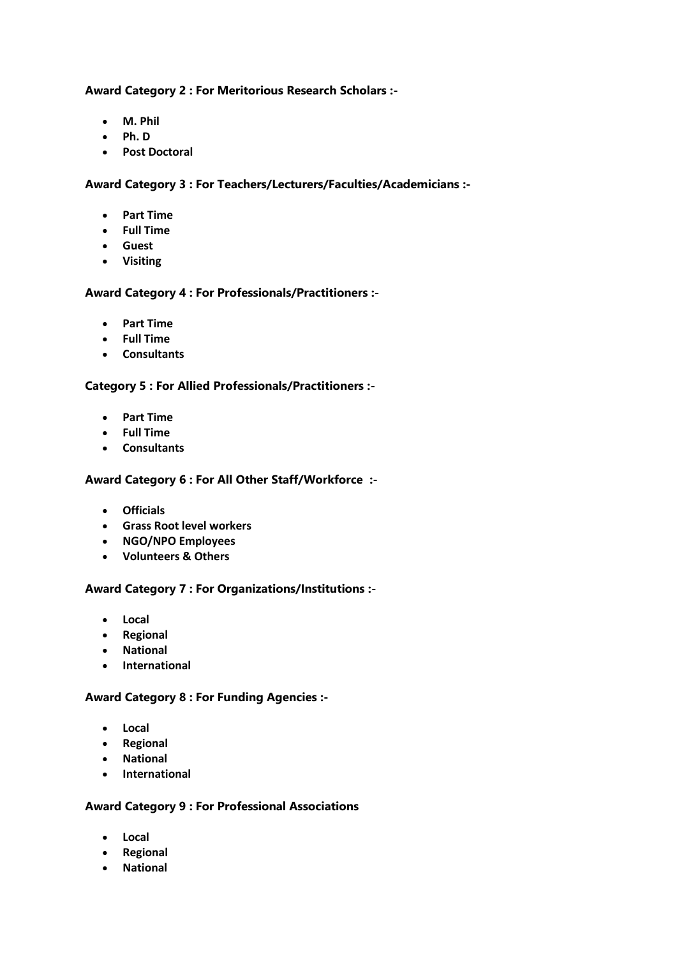### **Award Category 2 : For Meritorious Research Scholars :-**

- **M. Phil**
- **Ph. D**
- **Post Doctoral**

### **Award Category 3 : For Teachers/Lecturers/Faculties/Academicians :-**

- **Part Time**
- **Full Time**
- **Guest**
- **Visiting**

# **Award Category 4 : For Professionals/Practitioners :-**

- **Part Time**
- **Full Time**
- **Consultants**

# **Category 5 : For Allied Professionals/Practitioners :-**

- **Part Time**
- **Full Time**
- **Consultants**

# **Award Category 6 : For All Other Staff/Workforce :-**

- **Officials**
- **Grass Root level workers**
- **NGO/NPO Employees**
- **Volunteers & Others**

# **Award Category 7 : For Organizations/Institutions :-**

- **Local**
- **Regional**
- **National**
- **International**

# **Award Category 8 : For Funding Agencies :-**

- **Local**
- **Regional**
- **National**
- **International**

# **Award Category 9 : For Professional Associations**

- **Local**
- **Regional**
- **National**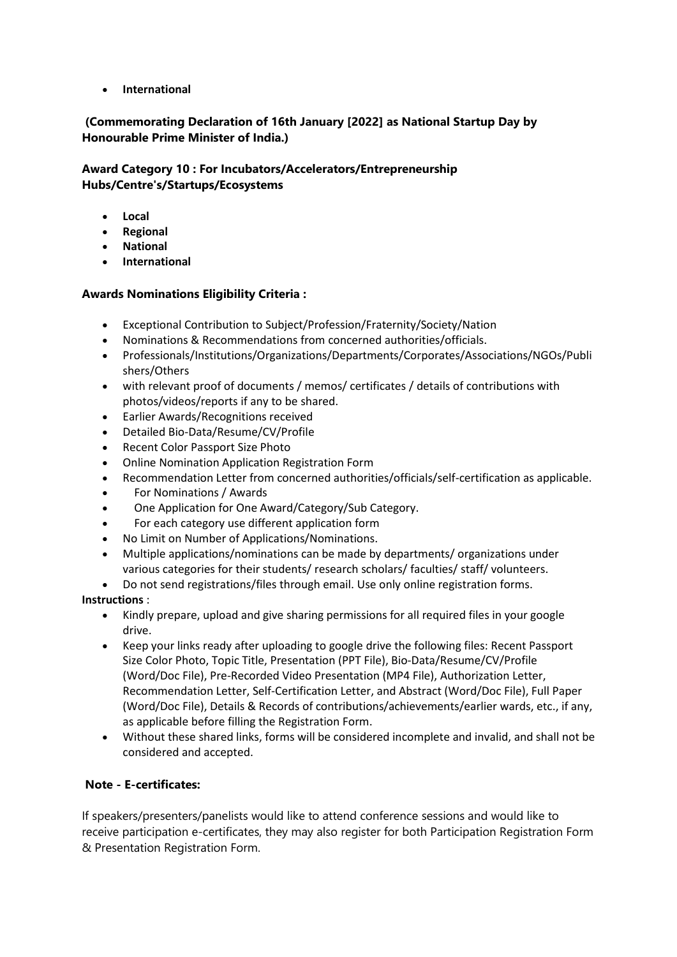• **International**

# **(Commemorating Declaration of 16th January [2022] as National Startup Day by Honourable Prime Minister of India.)**

# **Award Category 10 : For Incubators/Accelerators/Entrepreneurship Hubs/Centre's/Startups/Ecosystems**

- **Local**
- **Regional**
- **National**
- **International**

# **Awards Nominations Eligibility Criteria :**

- Exceptional Contribution to Subject/Profession/Fraternity/Society/Nation
- Nominations & Recommendations from concerned authorities/officials.
- Professionals/Institutions/Organizations/Departments/Corporates/Associations/NGOs/Publi shers/Others
- with relevant proof of documents / memos/ certificates / details of contributions with photos/videos/reports if any to be shared.
- Earlier Awards/Recognitions received
- Detailed Bio-Data/Resume/CV/Profile
- Recent Color Passport Size Photo
- Online Nomination Application Registration Form
- Recommendation Letter from concerned authorities/officials/self-certification as applicable.
- For Nominations / Awards
- One Application for One Award/Category/Sub Category.
- For each category use different application form
- No Limit on Number of Applications/Nominations.
- Multiple applications/nominations can be made by departments/ organizations under various categories for their students/ research scholars/ faculties/ staff/ volunteers.
- Do not send registrations/files through email. Use only online registration forms.

# **Instructions** :

- Kindly prepare, upload and give sharing permissions for all required files in your google drive.
- Keep your links ready after uploading to google drive the following files: Recent Passport Size Color Photo, Topic Title, Presentation (PPT File), Bio-Data/Resume/CV/Profile (Word/Doc File), Pre-Recorded Video Presentation (MP4 File), Authorization Letter, Recommendation Letter, Self-Certification Letter, and Abstract (Word/Doc File), Full Paper (Word/Doc File), Details & Records of contributions/achievements/earlier wards, etc., if any, as applicable before filling the Registration Form.
- Without these shared links, forms will be considered incomplete and invalid, and shall not be considered and accepted.

# **Note - E-certificates:**

If speakers/presenters/panelists would like to attend conference sessions and would like to receive participation e-certificates, they may also register for both Participation Registration Form & Presentation Registration Form.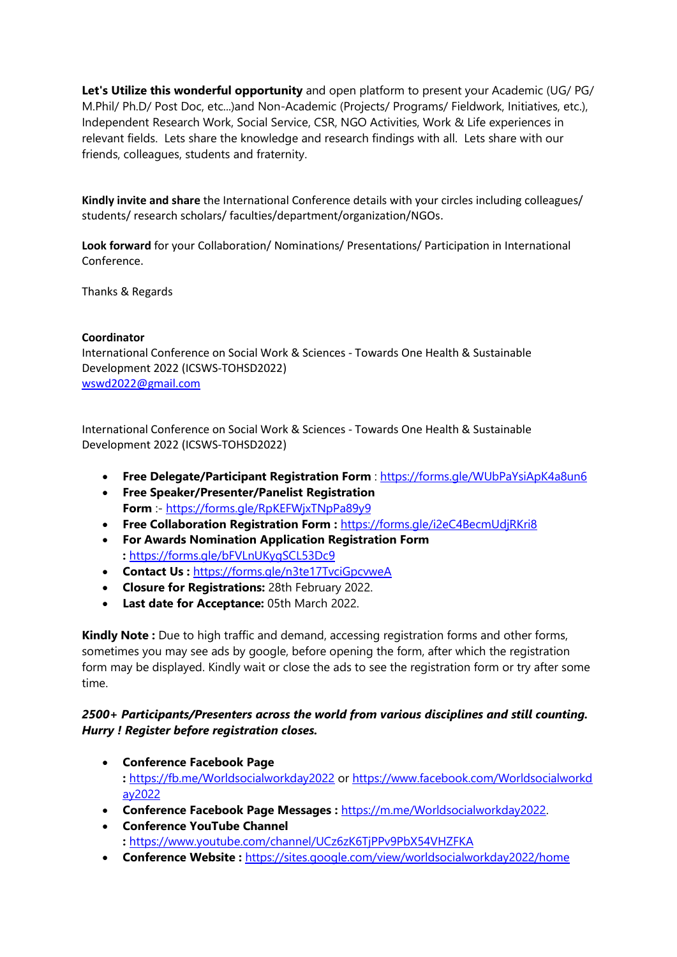**Let's Utilize this wonderful opportunity** and open platform to present your Academic (UG/ PG/ M.Phil/ Ph.D/ Post Doc, etc...)and Non-Academic (Projects/ Programs/ Fieldwork, Initiatives, etc.), Independent Research Work, Social Service, CSR, NGO Activities, Work & Life experiences in relevant fields. Lets share the knowledge and research findings with all. Lets share with our friends, colleagues, students and fraternity.

**Kindly invite and share** the International Conference details with your circles including colleagues/ students/ research scholars/ faculties/department/organization/NGOs.

**Look forward** for your Collaboration/ Nominations/ Presentations/ Participation in International Conference.

Thanks & Regards

### **Coordinator**

International Conference on Social Work & Sciences - Towards One Health & Sustainable Development 2022 (ICSWS-TOHSD2022) [wswd2022@gmail.com](mailto:wswd2022@gmail.com)

International Conference on Social Work & Sciences - Towards One Health & Sustainable Development 2022 (ICSWS-TOHSD2022)

- **Free Delegate/Participant Registration Form** : <https://forms.gle/WUbPaYsiApK4a8un6>
- **Free Speaker/Presenter/Panelist Registration Form** :- <https://forms.gle/RpKEFWjxTNpPa89y9>
- **Free Collaboration Registration Form :** <https://forms.gle/i2eC4BecmUdjRKri8>
- **For Awards Nomination Application Registration Form :** <https://forms.gle/bFVLnUKygSCL53Dc9>
- **Contact Us :** <https://forms.gle/n3te17TvciGpcvweA>
- **Closure for Registrations:** 28th February 2022.
- **Last date for Acceptance:** 05th March 2022.

**Kindly Note :** Due to high traffic and demand, accessing registration forms and other forms, sometimes you may see ads by google, before opening the form, after which the registration form may be displayed. Kindly wait or close the ads to see the registration form or try after some time.

# *2500+ Participants/Presenters across the world from various disciplines and still counting. Hurry ! Register before registration closes.*

- **Conference Facebook Page :** <https://fb.me/Worldsocialworkday2022> or [https://www.facebook.com/Worldsocialworkd](https://www.facebook.com/Worldsocialworkday2022) [ay2022](https://www.facebook.com/Worldsocialworkday2022)
- **Conference Facebook Page Messages :** [https://m.me/Worldsocialworkday2022.](https://m.me/Worldsocialworkday2022?fbclid=IwAR04vr05yVDQibkz6sAYHeBiNJF1pjdUbPZA4FH4vxJqh5QBkOEcx4UVAUE)
- **Conference YouTube Channel :** <https://www.youtube.com/channel/UCz6zK6TjPPv9PbX54VHZFKA>
- **Conference Website :** <https://sites.google.com/view/worldsocialworkday2022/home>